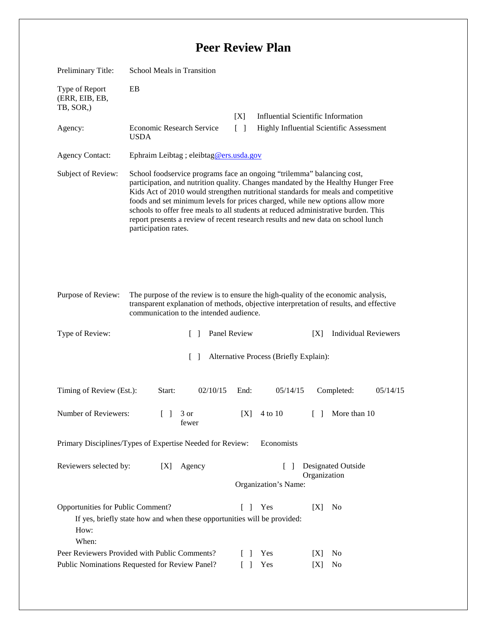## **Peer Review Plan**

| Preliminary Title:                                                                              | School Meals in Transition                                                                                                                                                                                                                                                                                                                                                                                                                                                                                                          |                        |                                                                                       |                                           |  |
|-------------------------------------------------------------------------------------------------|-------------------------------------------------------------------------------------------------------------------------------------------------------------------------------------------------------------------------------------------------------------------------------------------------------------------------------------------------------------------------------------------------------------------------------------------------------------------------------------------------------------------------------------|------------------------|---------------------------------------------------------------------------------------|-------------------------------------------|--|
| Type of Report<br>(ERR, EIB, EB,<br>TB, SOR,)                                                   | EB                                                                                                                                                                                                                                                                                                                                                                                                                                                                                                                                  |                        |                                                                                       |                                           |  |
| Agency:                                                                                         | Economic Research Service<br><b>USDA</b>                                                                                                                                                                                                                                                                                                                                                                                                                                                                                            | [X]<br>$\lceil \rceil$ | <b>Influential Scientific Information</b><br>Highly Influential Scientific Assessment |                                           |  |
| <b>Agency Contact:</b>                                                                          | Ephraim Leibtag ; eleibtag@ers.usda.gov                                                                                                                                                                                                                                                                                                                                                                                                                                                                                             |                        |                                                                                       |                                           |  |
| Subject of Review:                                                                              | School foodservice programs face an ongoing "trilemma" balancing cost,<br>participation, and nutrition quality. Changes mandated by the Healthy Hunger Free<br>Kids Act of 2010 would strengthen nutritional standards for meals and competitive<br>foods and set minimum levels for prices charged, while new options allow more<br>schools to offer free meals to all students at reduced administrative burden. This<br>report presents a review of recent research results and new data on school lunch<br>participation rates. |                        |                                                                                       |                                           |  |
| Purpose of Review:                                                                              | The purpose of the review is to ensure the high-quality of the economic analysis,<br>transparent explanation of methods, objective interpretation of results, and effective<br>communication to the intended audience.                                                                                                                                                                                                                                                                                                              |                        |                                                                                       |                                           |  |
| Type of Review:                                                                                 | $\mathcal{L}$                                                                                                                                                                                                                                                                                                                                                                                                                                                                                                                       | Panel Review           |                                                                                       | <b>Individual Reviewers</b><br>[X]        |  |
| $\Box$<br>Alternative Process (Briefly Explain):                                                |                                                                                                                                                                                                                                                                                                                                                                                                                                                                                                                                     |                        |                                                                                       |                                           |  |
| Timing of Review (Est.):                                                                        | 02/10/15<br>Start:                                                                                                                                                                                                                                                                                                                                                                                                                                                                                                                  | End:                   | 05/14/15                                                                              | 05/14/15<br>Completed:                    |  |
| Number of Reviewers:                                                                            | $\begin{bmatrix} 1 & 3 \end{bmatrix}$<br>fewer                                                                                                                                                                                                                                                                                                                                                                                                                                                                                      | [X]                    | 4 to 10                                                                               | More than 10<br>$\Box$                    |  |
|                                                                                                 | Primary Disciplines/Types of Expertise Needed for Review:                                                                                                                                                                                                                                                                                                                                                                                                                                                                           |                        | Economists                                                                            |                                           |  |
| Reviewers selected by:                                                                          | Agency<br>[X]                                                                                                                                                                                                                                                                                                                                                                                                                                                                                                                       |                        | $\Box$<br>Organization's Name:                                                        | <b>Designated Outside</b><br>Organization |  |
| Opportunities for Public Comment?<br>How:<br>When:                                              | If yes, briefly state how and when these opportunities will be provided:                                                                                                                                                                                                                                                                                                                                                                                                                                                            | L                      | Yes                                                                                   | [X]<br>No                                 |  |
| Peer Reviewers Provided with Public Comments?<br>Public Nominations Requested for Review Panel? |                                                                                                                                                                                                                                                                                                                                                                                                                                                                                                                                     |                        | Yes<br>Yes                                                                            | No<br>[X]<br>No<br>[X]                    |  |